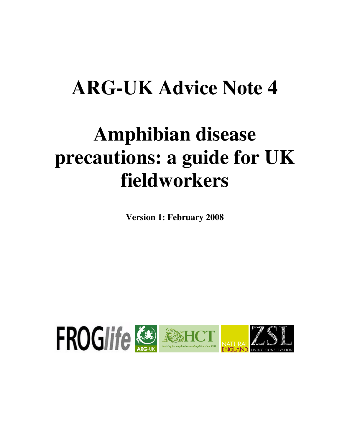## **ARG-UK Advice Note 4**

# **Amphibian disease precautions: a guide for UK fieldworkers**

**Version 1: February 2008**

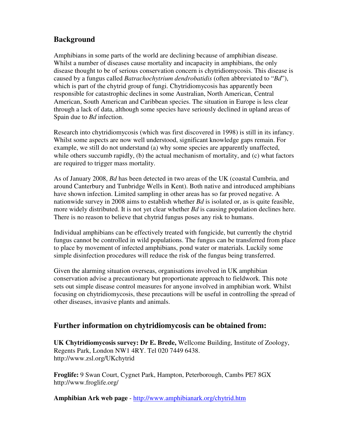### **Background**

Amphibians in some parts of the world are declining because of amphibian disease. Whilst a number of diseases cause mortality and incapacity in amphibians, the only disease thought to be of serious conservation concern is chytridiomycosis. This disease is caused by a fungus called *Batrachochytrium dendrobatidis* (often abbreviated to "*Bd*"), which is part of the chytrid group of fungi. Chytridiomycosis has apparently been responsible for catastrophic declines in some Australian, North American, Central American, South American and Caribbean species. The situation in Europe is less clear through a lack of data, although some species have seriously declined in upland areas of Spain due to *Bd* infection.

Research into chytridiomycosis (which was first discovered in 1998) is still in its infancy. Whilst some aspects are now well understood, significant knowledge gaps remain. For example, we still do not understand (a) why some species are apparently unaffected, while others succumb rapidly, (b) the actual mechanism of mortality, and (c) what factors are required to trigger mass mortality.

As of January 2008, *Bd* has been detected in two areas of the UK (coastal Cumbria, and around Canterbury and Tunbridge Wells in Kent). Both native and introduced amphibians have shown infection. Limited sampling in other areas has so far proved negative. A nationwide survey in 2008 aims to establish whether *Bd* is isolated or, as is quite feasible, more widely distributed. It is not yet clear whether *Bd* is causing population declines here. There is no reason to believe that chytrid fungus poses any risk to humans.

Individual amphibians can be effectively treated with fungicide, but currently the chytrid fungus cannot be controlled in wild populations. The fungus can be transferred from place to place by movement of infected amphibians, pond water or materials. Luckily some simple disinfection procedures will reduce the risk of the fungus being transferred.

Given the alarming situation overseas, organisations involved in UK amphibian conservation advise a precautionary but proportionate approach to fieldwork. This note sets out simple disease control measures for anyone involved in amphibian work. Whilst focusing on chytridiomycosis, these precautions will be useful in controlling the spread of other diseases, invasive plants and animals.

#### **Further information on chytridiomycosis can be obtained from:**

**UK Chytridiomycosis survey: Dr E. Brede,** Wellcome Building, Institute of Zoology, Regents Park, London NW1 4RY. Tel 020 7449 6438. http://www.zsl.org/UKchytrid

**Froglife:** 9 Swan Court, Cygnet Park, Hampton, Peterborough, Cambs PE7 8GX http://www.froglife.org/

**Amphibian Ark web page** - http://www.amphibianark.org/chytrid.htm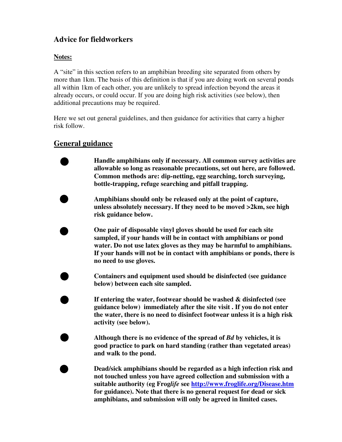### **Advice for fieldworkers**

#### **Notes:**

A "site" in this section refers to an amphibian breeding site separated from others by more than 1km. The basis of this definition is that if you are doing work on several ponds all within 1km of each other, you are unlikely to spread infection beyond the areas it already occurs, or could occur. If you are doing high risk activities (see below), then additional precautions may be required.

Here we set out general guidelines, and then guidance for activities that carry a higher risk follow.

#### **General guidance**

**Handle amphibians only if necessary. All common survey activities are allowable so long as reasonable precautions, set out here, are followed. Common methods are: dip-netting, egg searching, torch surveying, bottle-trapping, refuge searching and pitfall trapping.**

**Amphibians should only be released only at the point of capture, unless absolutely necessary. If they need to be moved >2km, see high risk guidance below.**

**One pair of disposable vinyl gloves should be used for each site sampled, if your hands will be in contact with amphibians or pond water. Do not use latex gloves as they may be harmful to amphibians. If your hands will not be in contact with amphibians or ponds, there is no need to use gloves.**

**Containers and equipment used should be disinfected (see guidance below) between each site sampled.**

**If entering the water, footwear should be washed & disinfected (see guidance below) immediately after the site visit . If you do not enter the water, there is no need to disinfect footwear unless it is a high risk activity (see below).**

**Although there is no evidence of the spread of** *Bd* **by vehicles, it is good practice to park on hard standing (rather than vegetated areas) and walk to the pond.**

**Dead/sick amphibians should be regarded as a high infection risk and not touched unless you have agreed collection and submission with a suitable authority (eg Frog***life* **see http://www.froglife.org/Disease.htm for guidance). Note that there is no general request for dead or sick amphibians, and submission will only be agreed in limited cases.**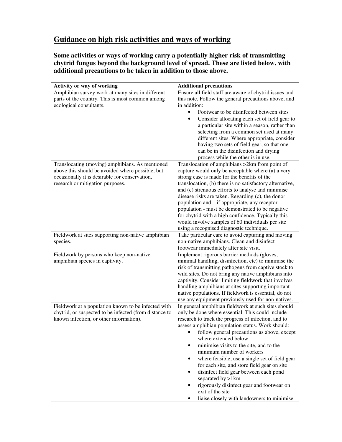## **Guidance on high risk activities and ways of working**

**Some activities or ways of working carry a potentially higher risk of transmitting chytrid fungus beyond the background level of spread. These are listed below, with additional precautions to be taken in addition to those above.**

| Activity or way of working                             | <b>Additional precautions</b>                                                                                                                                                                                                                          |
|--------------------------------------------------------|--------------------------------------------------------------------------------------------------------------------------------------------------------------------------------------------------------------------------------------------------------|
| Amphibian survey work at many sites in different       | Ensure all field staff are aware of chytrid issues and                                                                                                                                                                                                 |
| parts of the country. This is most common among        | this note. Follow the general precautions above, and                                                                                                                                                                                                   |
| ecological consultants.                                | in addition:                                                                                                                                                                                                                                           |
|                                                        | Footwear to be disinfected between sites<br>$\bullet$                                                                                                                                                                                                  |
|                                                        | Consider allocating each set of field gear to                                                                                                                                                                                                          |
|                                                        | a particular site within a season, rather than                                                                                                                                                                                                         |
|                                                        | selecting from a common set used at many                                                                                                                                                                                                               |
|                                                        | different sites. Where appropriate, consider                                                                                                                                                                                                           |
|                                                        | having two sets of field gear, so that one                                                                                                                                                                                                             |
|                                                        | can be in the disinfection and drying                                                                                                                                                                                                                  |
|                                                        | process while the other is in use.                                                                                                                                                                                                                     |
| Translocating (moving) amphibians. As mentioned        | Translocation of amphibians >2km from point of                                                                                                                                                                                                         |
| above this should be avoided where possible, but       | capture would only be acceptable where (a) a very                                                                                                                                                                                                      |
| occasionally it is desirable for conservation,         | strong case is made for the benefits of the                                                                                                                                                                                                            |
| research or mitigation purposes.                       | translocation, (b) there is no satisfactory alternative,                                                                                                                                                                                               |
|                                                        | and (c) strenuous efforts to analyse and minimise                                                                                                                                                                                                      |
|                                                        | disease risks are taken. Regarding (c), the donor                                                                                                                                                                                                      |
|                                                        | population and – if appropriate, any receptor<br>population - must be demonstrated to be negative                                                                                                                                                      |
|                                                        | for chytrid with a high confidence. Typically this                                                                                                                                                                                                     |
|                                                        | would involve samples of 60 individuals per site                                                                                                                                                                                                       |
|                                                        | using a recognised diagnostic technique.                                                                                                                                                                                                               |
| Fieldwork at sites supporting non-native amphibian     | Take particular care to avoid capturing and moving                                                                                                                                                                                                     |
| species.                                               | non-native amphibians. Clean and disinfect                                                                                                                                                                                                             |
|                                                        | footwear immediately after site visit.                                                                                                                                                                                                                 |
| Fieldwork by persons who keep non-native               | Implement rigorous barrier methods (gloves,                                                                                                                                                                                                            |
| amphibian species in captivity.                        | minimal handling, disinfection, etc) to minimise the                                                                                                                                                                                                   |
|                                                        | risk of transmitting pathogens from captive stock to                                                                                                                                                                                                   |
|                                                        | wild sites. Do not bring any native amphibians into                                                                                                                                                                                                    |
|                                                        | captivity. Consider limiting fieldwork that involves                                                                                                                                                                                                   |
|                                                        | handling amphibians at sites supporting important                                                                                                                                                                                                      |
|                                                        | native populations. If fieldwork is essential, do not                                                                                                                                                                                                  |
|                                                        | use any equipment previously used for non-natives.                                                                                                                                                                                                     |
| Fieldwork at a population known to be infected with    | In general amphibian fieldwork at such sites should                                                                                                                                                                                                    |
| chytrid, or suspected to be infected (from distance to | only be done where essential. This could include                                                                                                                                                                                                       |
| known infection, or other information).                | research to track the progress of infection, and to                                                                                                                                                                                                    |
|                                                        | assess amphibian population status. Work should:                                                                                                                                                                                                       |
|                                                        | • follow general precautions as above, except                                                                                                                                                                                                          |
|                                                        | where extended below                                                                                                                                                                                                                                   |
|                                                        |                                                                                                                                                                                                                                                        |
|                                                        |                                                                                                                                                                                                                                                        |
|                                                        |                                                                                                                                                                                                                                                        |
|                                                        |                                                                                                                                                                                                                                                        |
|                                                        |                                                                                                                                                                                                                                                        |
|                                                        |                                                                                                                                                                                                                                                        |
|                                                        |                                                                                                                                                                                                                                                        |
|                                                        | rigorously disinfect gear and footwear on<br>exit of the site                                                                                                                                                                                          |
|                                                        | minimise visits to the site, and to the<br>$\bullet$<br>minimum number of workers<br>where feasible, use a single set of field gear<br>for each site, and store field gear on site<br>disinfect field gear between each pond<br>٠<br>separated by >1km |
|                                                        |                                                                                                                                                                                                                                                        |
|                                                        |                                                                                                                                                                                                                                                        |